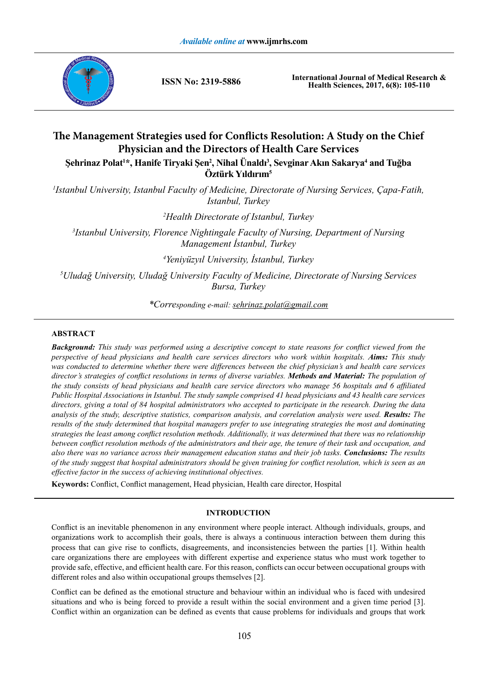

**ISSN No: 2319-5886**

**International Journal of Medical Research & Health Sciences, 2017, 6(8): 105-110**

# **The Management Strategies used for Conflicts Resolution: A Study on the Chief Physician and the Directors of Health Care Services Şehrinaz Polat<sup>1</sup> \*, Hanife Tiryaki Şen<sup>2</sup> , Nihal Ünaldı<sup>3</sup> , Sevginar Akın Sakarya<sup>4</sup> and Tuğba**

**Öztürk Yıldırım<sup>5</sup>**

*1 Istanbul University, Istanbul Faculty of Medicine, Directorate of Nursing Services, Çapa-Fatih, Istanbul, Turkey*

*2 Health Directorate of Istanbul, Turkey*

*3 Istanbul University, Florence Nightingale Faculty of Nursing, Department of Nursing Management İstanbul, Turkey*

*4 Yeniyüzyıl University, İstanbul, Turkey*

*5 Uludağ University, Uludağ University Faculty of Medicine, Directorate of Nursing Services Bursa, Turkey*

*\*Corresponding e-mail: sehrinaz.polat@gmail.com*

# **ABSTRACT**

*Background: This study was performed using a descriptive concept to state reasons for conflict viewed from the perspective of head physicians and health care services directors who work within hospitals. Aims: This study was conducted to determine whether there were differences between the chief physician's and health care services director's strategies of conflict resolutions in terms of diverse variables. Methods and Material: The population of the study consists of head physicians and health care service directors who manage 56 hospitals and 6 affiliated Public Hospital Associations in Istanbul. The study sample comprised 41 head physicians and 43 health care services directors, giving a total of 84 hospital administrators who accepted to participate in the research. During the data analysis of the study, descriptive statistics, comparison analysis, and correlation analysis were used. Results: The results of the study determined that hospital managers prefer to use integrating strategies the most and dominating strategies the least among conflict resolution methods. Additionally, it was determined that there was no relationship between conflict resolution methods of the administrators and their age, the tenure of their task and occupation, and also there was no variance across their management education status and their job tasks. Conclusions: The results of the study suggest that hospital administrators should be given training for conflict resolution, which is seen as an effective factor in the success of achieving institutional objectives.* 

**Keywords:** Conflict, Conflict management, Head physician, Health care director, Hospital

# **INTRODUCTION**

Conflict is an inevitable phenomenon in any environment where people interact. Although individuals, groups, and organizations work to accomplish their goals, there is always a continuous interaction between them during this process that can give rise to conflicts, disagreements, and inconsistencies between the parties [1]. Within health care organizations there are employees with different expertise and experience status who must work together to provide safe, effective, and efficient health care. For this reason, conflicts can occur between occupational groups with different roles and also within occupational groups themselves [2].

Conflict can be defined as the emotional structure and behaviour within an individual who is faced with undesired situations and who is being forced to provide a result within the social environment and a given time period [3]. Conflict within an organization can be defined as events that cause problems for individuals and groups that work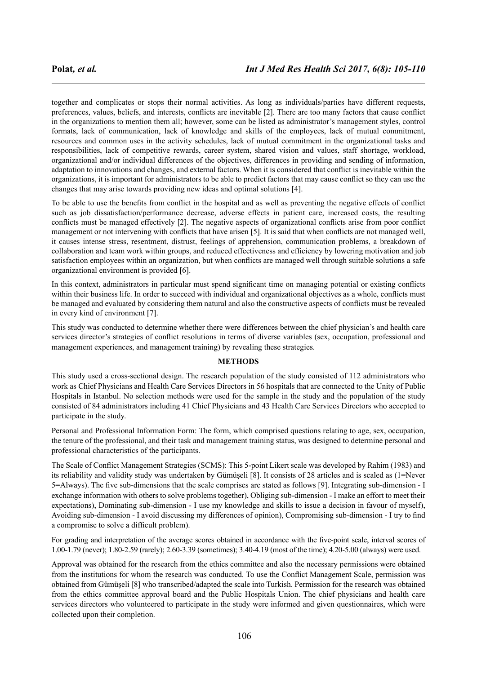together and complicates or stops their normal activities. As long as individuals/parties have different requests, preferences, values, beliefs, and interests, conflicts are inevitable [2]. There are too many factors that cause conflict in the organizations to mention them all; however, some can be listed as administrator's management styles, control formats, lack of communication, lack of knowledge and skills of the employees, lack of mutual commitment, resources and common uses in the activity schedules, lack of mutual commitment in the organizational tasks and responsibilities, lack of competitive rewards, career system, shared vision and values, staff shortage, workload, organizational and/or individual differences of the objectives, differences in providing and sending of information, adaptation to innovations and changes, and external factors. When it is considered that conflict is inevitable within the organizations, it is important for administrators to be able to predict factors that may cause conflict so they can use the changes that may arise towards providing new ideas and optimal solutions [4].

To be able to use the benefits from conflict in the hospital and as well as preventing the negative effects of conflict such as job dissatisfaction/performance decrease, adverse effects in patient care, increased costs, the resulting conflicts must be managed effectively [2]. The negative aspects of organizational conflicts arise from poor conflict management or not intervening with conflicts that have arisen [5]. It is said that when conflicts are not managed well, it causes intense stress, resentment, distrust, feelings of apprehension, communication problems, a breakdown of collaboration and team work within groups, and reduced effectiveness and efficiency by lowering motivation and job satisfaction employees within an organization, but when conflicts are managed well through suitable solutions a safe organizational environment is provided [6].

In this context, administrators in particular must spend significant time on managing potential or existing conflicts within their business life. In order to succeed with individual and organizational objectives as a whole, conflicts must be managed and evaluated by considering them natural and also the constructive aspects of conflicts must be revealed in every kind of environment [7].

This study was conducted to determine whether there were differences between the chief physician's and health care services director's strategies of conflict resolutions in terms of diverse variables (sex, occupation, professional and management experiences, and management training) by revealing these strategies.

#### **METHODS**

This study used a cross-sectional design. The research population of the study consisted of 112 administrators who work as Chief Physicians and Health Care Services Directors in 56 hospitals that are connected to the Unity of Public Hospitals in Istanbul. No selection methods were used for the sample in the study and the population of the study consisted of 84 administrators including 41 Chief Physicians and 43 Health Care Services Directors who accepted to participate in the study.

Personal and Professional Information Form: The form, which comprised questions relating to age, sex, occupation, the tenure of the professional, and their task and management training status, was designed to determine personal and professional characteristics of the participants.

The Scale of Conflict Management Strategies (SCMS): This 5-point Likert scale was developed by Rahim (1983) and its reliability and validity study was undertaken by Gümüşeli [8]. It consists of 28 articles and is scaled as (1=Never 5=Always). The five sub-dimensions that the scale comprises are stated as follows [9]. Integrating sub-dimension - I exchange information with others to solve problems together), Obliging sub-dimension - I make an effort to meet their expectations), Dominating sub-dimension - I use my knowledge and skills to issue a decision in favour of myself), Avoiding sub-dimension - I avoid discussing my differences of opinion), Compromising sub-dimension - I try to find a compromise to solve a difficult problem).

For grading and interpretation of the average scores obtained in accordance with the five-point scale, interval scores of 1.00-1.79 (never); 1.80-2.59 (rarely); 2.60-3.39 (sometimes); 3.40-4.19 (most of the time); 4.20-5.00 (always) were used.

Approval was obtained for the research from the ethics committee and also the necessary permissions were obtained from the institutions for whom the research was conducted. To use the Conflict Management Scale, permission was obtained from Gümüşeli [8] who transcribed/adapted the scale into Turkish. Permission for the research was obtained from the ethics committee approval board and the Public Hospitals Union. The chief physicians and health care services directors who volunteered to participate in the study were informed and given questionnaires, which were collected upon their completion.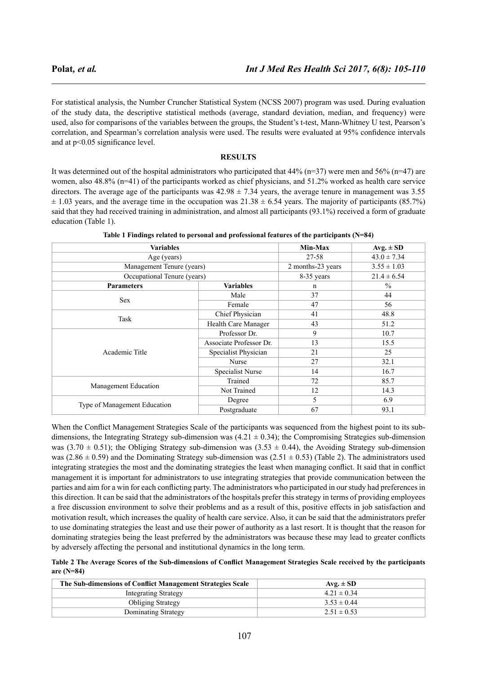For statistical analysis, the Number Cruncher Statistical System (NCSS 2007) program was used. During evaluation of the study data, the descriptive statistical methods (average, standard deviation, median, and frequency) were used, also for comparisons of the variables between the groups, the Student's t-test, Mann-Whitney U test, Pearson's correlation, and Spearman's correlation analysis were used. The results were evaluated at 95% confidence intervals and at p<0.05 significance level.

#### **RESULTS**

It was determined out of the hospital administrators who participated that  $44\%$  (n=37) were men and 56% (n=47) are women, also 48.8% (n=41) of the participants worked as chief physicians, and 51.2% worked as health care service directors. The average age of the participants was  $42.98 \pm 7.34$  years, the average tenure in management was 3.55  $\pm$  1.03 years, and the average time in the occupation was  $21.38 \pm 6.54$  years. The majority of participants (85.7%) said that they had received training in administration, and almost all participants (93.1%) received a form of graduate education (Table 1).

| <b>Variables</b>             |                                       | Min-Max                                                            | $Avg. \pm SD$   |
|------------------------------|---------------------------------------|--------------------------------------------------------------------|-----------------|
| Age (years)                  |                                       | 27-58                                                              | $43.0 \pm 7.34$ |
| Management Tenure (years)    |                                       | 2 months-23 years                                                  | $3.55 \pm 1.03$ |
| Occupational Tenure (years)  |                                       | 8-35 years                                                         | $21.4 \pm 6.54$ |
| <b>Parameters</b>            | <b>Variables</b><br>n                 |                                                                    | $\%$            |
| <b>Sex</b>                   | Male                                  | 37                                                                 | 44              |
|                              | Female                                | 47<br>41<br>43<br>9<br>13<br>21<br>27<br>14<br>72<br>12<br>5<br>67 | 56              |
| Task                         | Chief Physician                       |                                                                    | 48.8            |
|                              | Health Care Manager                   |                                                                    | 51.2            |
|                              | Professor Dr.                         |                                                                    | 10.7            |
|                              | Associate Professor Dr.               |                                                                    | 15.5            |
| Academic Title               | Specialist Physician                  |                                                                    | 25              |
|                              | Nurse                                 |                                                                    | 32.1            |
|                              | Specialist Nurse                      |                                                                    | 16.7            |
|                              | Trained                               |                                                                    | 85.7            |
| Management Education         | Not Trained<br>Degree<br>Postgraduate | 14.3                                                               |                 |
|                              |                                       |                                                                    | 6.9             |
| Type of Management Education |                                       | 93.1                                                               |                 |

**Table 1 Findings related to personal and professional features of the participants (N=84)**

When the Conflict Management Strategies Scale of the participants was sequenced from the highest point to its subdimensions, the Integrating Strategy sub-dimension was  $(4.21 \pm 0.34)$ ; the Compromising Strategies sub-dimension was (3.70  $\pm$  0.51); the Obliging Strategy sub-dimension was (3.53  $\pm$  0.44), the Avoiding Strategy sub-dimension was (2.86  $\pm$  0.59) and the Dominating Strategy sub-dimension was (2.51  $\pm$  0.53) (Table 2). The administrators used integrating strategies the most and the dominating strategies the least when managing conflict. It said that in conflict management it is important for administrators to use integrating strategies that provide communication between the parties and aim for a win for each conflicting party. The administrators who participated in our study had preferences in this direction. It can be said that the administrators of the hospitals prefer this strategy in terms of providing employees a free discussion environment to solve their problems and as a result of this, positive effects in job satisfaction and motivation result, which increases the quality of health care service. Also, it can be said that the administrators prefer to use dominating strategies the least and use their power of authority as a last resort. It is thought that the reason for dominating strategies being the least preferred by the administrators was because these may lead to greater conflicts by adversely affecting the personal and institutional dynamics in the long term.

**Table 2 The Average Scores of the Sub-dimensions of Conflict Management Strategies Scale received by the participants are (N=84)**

| The Sub-dimensions of Conflict Management Strategies Scale | $Avg. \pm SD$   |
|------------------------------------------------------------|-----------------|
| <b>Integrating Strategy</b>                                | $4.21 \pm 0.34$ |
| <b>Obliging Strategy</b>                                   | $3.53 \pm 0.44$ |
| Dominating Strategy                                        | $2.51 \pm 0.53$ |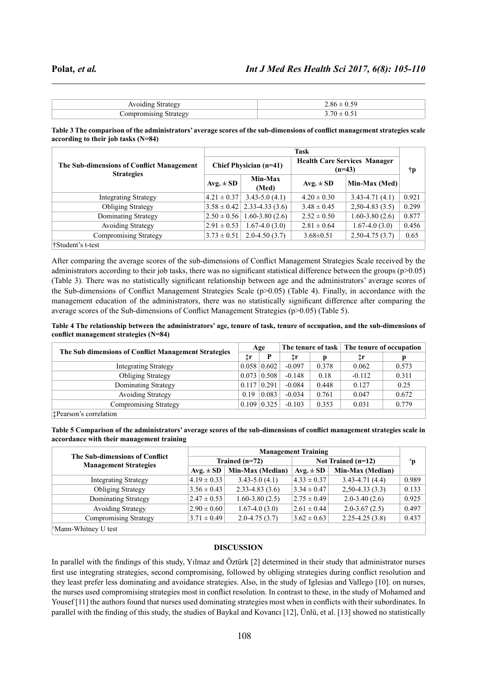| J.                                     | $\mathcal{Q}$ |
|----------------------------------------|---------------|
| `∩r<br><b><i><u>Netrate ov</u></i></b> |               |

**Table 3 The comparison of the administrators' average scores of the sub-dimensions of conflict management strategies scale according to their job tasks (N=84)**

| The Sub-dimensions of Conflict Management<br><b>Strategies</b> | <b>Task</b>     |                               |                                                 |                    |       |  |  |
|----------------------------------------------------------------|-----------------|-------------------------------|-------------------------------------------------|--------------------|-------|--|--|
|                                                                |                 | <b>Chief Physician (n=41)</b> | <b>Health Care Services Manager</b><br>$(n=43)$ | ŤР                 |       |  |  |
|                                                                | $Avg. \pm SD$   | Min-Max<br>(Med)              | $Avg. \pm SD$                                   | Min-Max (Med)      |       |  |  |
| <b>Integrating Strategy</b>                                    | $4.21 \pm 0.37$ | $3.43 - 5.0(4.1)$             | $4.20 \pm 0.30$                                 | $3.43 - 4.71(4.1)$ | 0.921 |  |  |
| <b>Obliging Strategy</b>                                       | $3.58 \pm 0.42$ | $2.33 - 4.33(3.6)$            | $3.48 \pm 0.45$                                 | $2,50-4.83(3.5)$   | 0.299 |  |  |
| Dominating Strategy                                            | $2.50 \pm 0.56$ | $1.60 - 3.80(2.6)$            | $2.52 \pm 0.50$                                 | $1.60 - 3.80(2.6)$ | 0.877 |  |  |
| <b>Avoiding Strategy</b>                                       | $2.91 \pm 0.53$ | $1.67 - 4.0(3.0)$             | $2.81 \pm 0.64$                                 | $1.67 - 4.0(3.0)$  | 0.456 |  |  |
| <b>Compromising Strategy</b>                                   | $3.73 \pm 0.51$ | $2.0 - 4.50(3.7)$             | $3.68 \pm 0.51$                                 | $2.50 - 4.75(3.7)$ | 0.65  |  |  |
| †Student's t-test                                              |                 |                               |                                                 |                    |       |  |  |

After comparing the average scores of the sub-dimensions of Conflict Management Strategies Scale received by the administrators according to their job tasks, there was no significant statistical difference between the groups (p>0.05) (Table 3). There was no statistically significant relationship between age and the administrators' average scores of the Sub-dimensions of Conflict Management Strategies Scale (p>0.05) (Table 4). Finally, in accordance with the management education of the administrators, there was no statistically significant difference after comparing the average scores of the Sub-dimensions of Conflict Management Strategies (p>0.05) (Table 5).

**Table 4 The relationship between the administrators' age, tenure of task, tenure of occupation, and the sub-dimensions of conflict management strategies (N=84)**

|                                                      |       | Age   |              |       | The tenure of task The tenure of occupation |       |
|------------------------------------------------------|-------|-------|--------------|-------|---------------------------------------------|-------|
| The Sub dimensions of Conflict Management Strategies | İΓ    | Þ     | $\ddagger$ r |       | ‡r                                          | р     |
| <b>Integrating Strategy</b>                          | 0.058 | 0.602 | $-0.097$     | 0.378 | 0.062                                       | 0.573 |
| <b>Obliging Strategy</b>                             | 0.073 | 0.508 | $-0.148$     | 0.18  | $-0.112$                                    | 0.311 |
| Dominating Strategy                                  | 0.117 | 0.291 | $-0.084$     | 0.448 | 0.127                                       | 0.25  |
| <b>Avoiding Strategy</b>                             | 0.19  | 0.083 | $-0.034$     | 0.761 | 0.047                                       | 0.672 |
| Compromising Strategy                                | 0.109 | 0.325 | $-0.103$     | 0.353 | 0.031                                       | 0.779 |
| <b>T</b> Pearson's correlation                       |       |       |              |       |                                             |       |

**Table 5 Comparison of the administrators' average scores of the sub-dimensions of conflict management strategies scale in accordance with their management training**

| The Sub-dimensions of Conflict<br><b>Management Strategies</b> | <b>Management Training</b> |                    |                      |                    |       |  |
|----------------------------------------------------------------|----------------------------|--------------------|----------------------|--------------------|-------|--|
|                                                                |                            | Trained $(n=72)$   | Not Trained $(n=12)$ | $\mathbf{p}$       |       |  |
|                                                                | $Avg. \pm SD$              | Min-Max (Median)   | $Avg. \pm SD$        | Min-Max (Median)   |       |  |
| <b>Integrating Strategy</b>                                    | $4.19 \pm 0.33$            | $3.43 - 5.0(4.1)$  | $4.33 \pm 0.37$      | $3.43 - 4.71(4.4)$ | 0.989 |  |
| <b>Obliging Strategy</b>                                       | $3.56 \pm 0.43$            | $2.33 - 4.83(3.6)$ | $3.34 \pm 0.47$      | $2,50-4.33(3.3)$   | 0.133 |  |
| Dominating Strategy                                            | $2.47 \pm 0.53$            | $1.60 - 3.80(2.5)$ | $2.75 \pm 0.49$      | $2.0 - 3.40(2.6)$  | 0.925 |  |
| <b>Avoiding Strategy</b>                                       | $2.90 \pm 0.60$            | $1.67 - 4.0(3.0)$  | $2.61 \pm 0.44$      | $2.0 - 3.67(2.5)$  | 0.497 |  |
| <b>Compromising Strategy</b>                                   | $3.71 \pm 0.49$            | $2.0 - 4.75(3.7)$  | $3.62 \pm 0.63$      | $2.25 - 4.25(3.8)$ | 0.437 |  |
| <sup>c</sup> Mann-Whitney U test                               |                            |                    |                      |                    |       |  |

# **DISCUSSION**

In parallel with the findings of this study, Yılmaz and Öztürk [2] determined in their study that administrator nurses first use integrating strategies, second compromising, followed by obliging strategies during conflict resolution and they least prefer less dominating and avoidance strategies. Also, in the study of Iglesias and Vallego [10]. on nurses, the nurses used compromising strategies most in conflict resolution. In contrast to these, in the study of Mohamed and Yousef [11] the authors found that nurses used dominating strategies most when in conflicts with their subordinates. In parallel with the finding of this study, the studies of Baykal and Kovancı [12], Ünlü, et al. [13] showed no statistically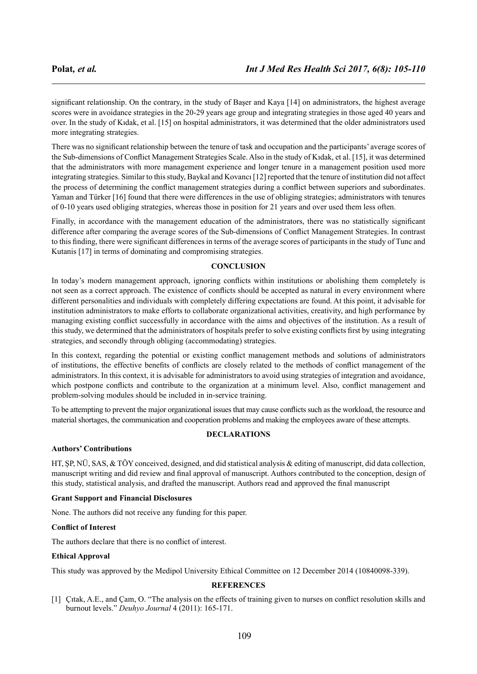significant relationship. On the contrary, in the study of Başer and Kaya [14] on administrators, the highest average scores were in avoidance strategies in the 20-29 years age group and integrating strategies in those aged 40 years and over. In the study of Kıdak, et al. [15] on hospital administrators, it was determined that the older administrators used more integrating strategies.

There was no significant relationship between the tenure of task and occupation and the participants' average scores of the Sub-dimensions of Conflict Management Strategies Scale. Also in the study of Kıdak, et al. [15], it was determined that the administrators with more management experience and longer tenure in a management position used more integrating strategies. Similar to this study, Baykal and Kovancı [12] reported that the tenure of institution did not affect the process of determining the conflict management strategies during a conflict between superiors and subordinates. Yaman and Türker [16] found that there were differences in the use of obliging strategies; administrators with tenures of 0-10 years used obliging strategies, whereas those in position for 21 years and over used them less often.

Finally, in accordance with the management education of the administrators, there was no statistically significant difference after comparing the average scores of the Sub-dimensions of Conflict Management Strategies. In contrast to this finding, there were significant differences in terms of the average scores of participants in the study of Tunc and Kutanis [17] in terms of dominating and compromising strategies.

# **CONCLUSION**

In today's modern management approach, ignoring conflicts within institutions or abolishing them completely is not seen as a correct approach. The existence of conflicts should be accepted as natural in every environment where different personalities and individuals with completely differing expectations are found. At this point, it advisable for institution administrators to make efforts to collaborate organizational activities, creativity, and high performance by managing existing conflict successfully in accordance with the aims and objectives of the institution. As a result of this study, we determined that the administrators of hospitals prefer to solve existing conflicts first by using integrating strategies, and secondly through obliging (accommodating) strategies.

In this context, regarding the potential or existing conflict management methods and solutions of administrators of institutions, the effective benefits of conflicts are closely related to the methods of conflict management of the administrators. In this context, it is advisable for administrators to avoid using strategies of integration and avoidance, which postpone conflicts and contribute to the organization at a minimum level. Also, conflict management and problem-solving modules should be included in in-service training.

To be attempting to prevent the major organizational issues that may cause conflicts such as the workload, the resource and material shortages, the communication and cooperation problems and making the employees aware of these attempts.

# **DECLARATIONS**

# **Authors' Contributions**

HT, ŞP, NÜ, SAS, & TÖY conceived, designed, and did statistical analysis & editing of manuscript, did data collection, manuscript writing and did review and final approval of manuscript. Authors contributed to the conception, design of this study, statistical analysis, and drafted the manuscript. Authors read and approved the final manuscript

# **Grant Support and Financial Disclosures**

None. The authors did not receive any funding for this paper.

# **Conflict of Interest**

The authors declare that there is no conflict of interest.

# **Ethical Approval**

This study was approved by the Medipol University Ethical Committee on 12 December 2014 (10840098-339).

# **REFERENCES**

[1] Çıtak, A.E., and Çam, O. "The analysis on the effects of training given to nurses on conflict resolution skills and burnout levels." *Deuhyo Journal* 4 (2011): 165-171.